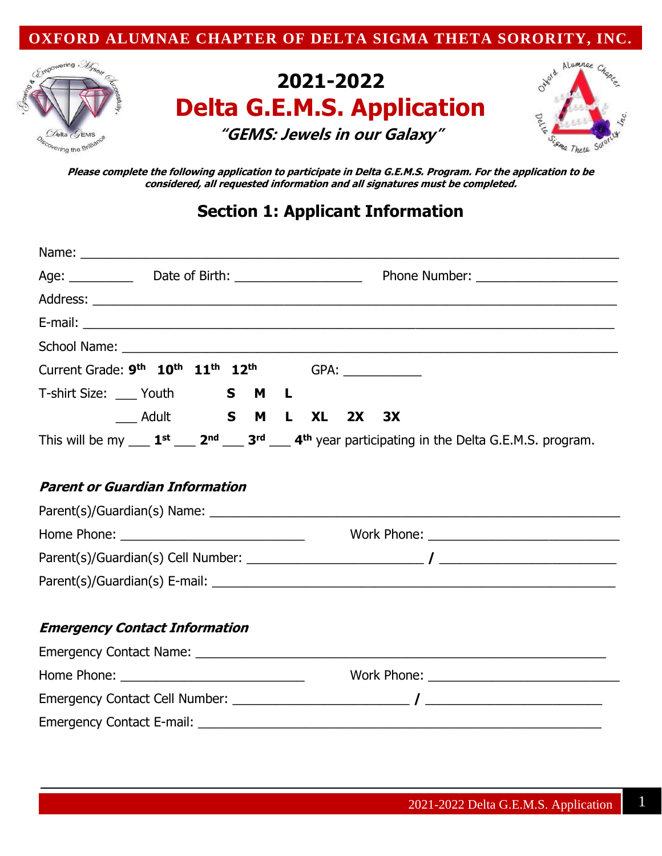



# **2021-2022 Delta G.E.M.S. Application "GEMS: Jewels in our Galaxy"**



**Please complete the following application to participate in Delta G.E.M.S. Program. For the application to be considered, all requested information and all signatures must be completed.** 

# **Section 1: Applicant Information**

| Current Grade: 9 <sup>th</sup> 10 <sup>th</sup> 11 <sup>th</sup> 12 <sup>th</sup> |                      |  |  |  |                                                                                                                                          |
|-----------------------------------------------------------------------------------|----------------------|--|--|--|------------------------------------------------------------------------------------------------------------------------------------------|
|                                                                                   |                      |  |  |  |                                                                                                                                          |
|                                                                                   | Adult S M L XL 2X 3X |  |  |  |                                                                                                                                          |
|                                                                                   |                      |  |  |  | This will be my $\_\_1^{\text{st}}\_\_2^{\text{nd}}\_\_3^{\text{rd}}\_\_4^{\text{th}}$ year participating in the Delta G.E.M.S. program. |
|                                                                                   |                      |  |  |  |                                                                                                                                          |
| <b>Parent or Guardian Information</b>                                             |                      |  |  |  |                                                                                                                                          |
|                                                                                   |                      |  |  |  |                                                                                                                                          |
|                                                                                   |                      |  |  |  |                                                                                                                                          |
|                                                                                   |                      |  |  |  |                                                                                                                                          |
|                                                                                   |                      |  |  |  |                                                                                                                                          |
|                                                                                   |                      |  |  |  |                                                                                                                                          |
| <b>Emergency Contact Information</b>                                              |                      |  |  |  |                                                                                                                                          |
|                                                                                   |                      |  |  |  |                                                                                                                                          |
|                                                                                   |                      |  |  |  |                                                                                                                                          |
|                                                                                   |                      |  |  |  |                                                                                                                                          |
|                                                                                   |                      |  |  |  |                                                                                                                                          |
|                                                                                   |                      |  |  |  |                                                                                                                                          |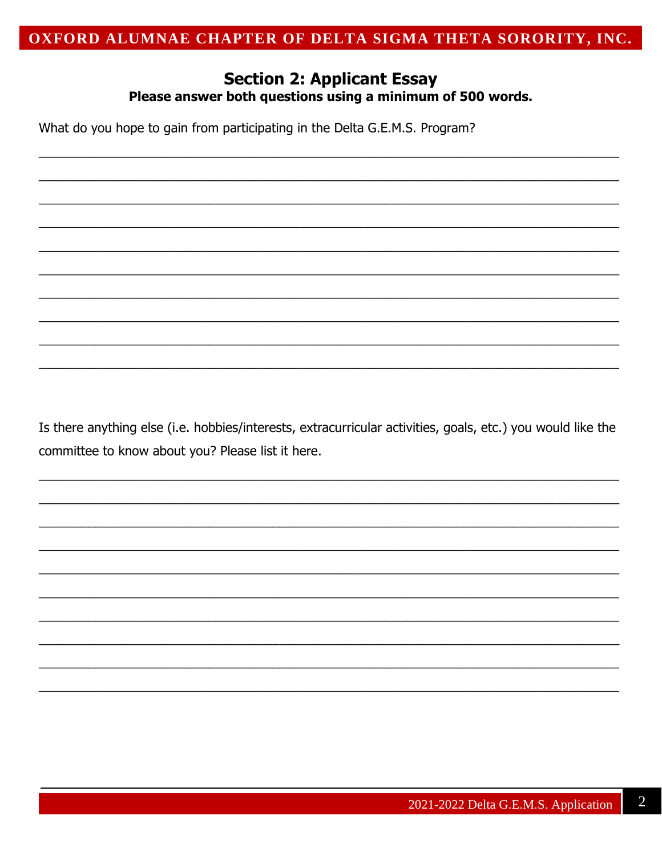#### **Section 2: Applicant Essay** Please answer both questions using a minimum of 500 words.

What do you hope to gain from participating in the Delta G.E.M.S. Program?

Is there anything else (i.e. hobbies/interests, extracurricular activities, goals, etc.) you would like the committee to know about you? Please list it here.